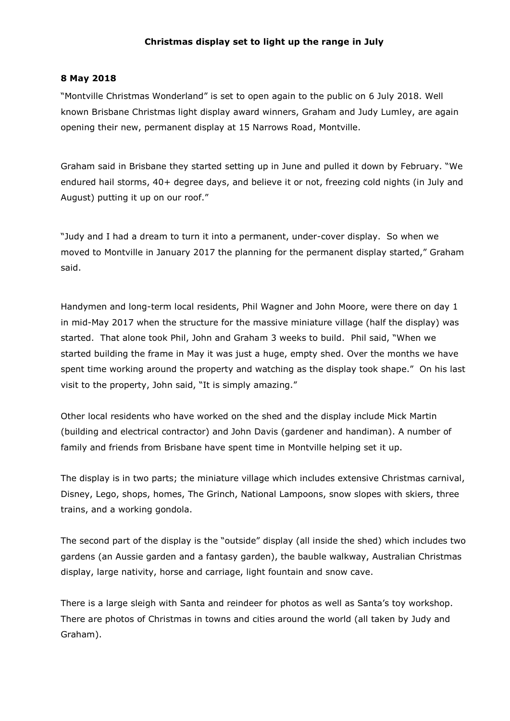## **Christmas display set to light up the range in July**

## **8 May 2018**

"Montville Christmas Wonderland" is set to open again to the public on 6 July 2018. Well known Brisbane Christmas light display award winners, Graham and Judy Lumley, are again opening their new, permanent display at 15 Narrows Road, Montville.

Graham said in Brisbane they started setting up in June and pulled it down by February. "We endured hail storms, 40+ degree days, and believe it or not, freezing cold nights (in July and August) putting it up on our roof."

"Judy and I had a dream to turn it into a permanent, under-cover display. So when we moved to Montville in January 2017 the planning for the permanent display started," Graham said.

Handymen and long-term local residents, Phil Wagner and John Moore, were there on day 1 in mid-May 2017 when the structure for the massive miniature village (half the display) was started. That alone took Phil, John and Graham 3 weeks to build. Phil said, "When we started building the frame in May it was just a huge, empty shed. Over the months we have spent time working around the property and watching as the display took shape." On his last visit to the property, John said, "It is simply amazing."

Other local residents who have worked on the shed and the display include Mick Martin (building and electrical contractor) and John Davis (gardener and handiman). A number of family and friends from Brisbane have spent time in Montville helping set it up.

The display is in two parts; the miniature village which includes extensive Christmas carnival, Disney, Lego, shops, homes, The Grinch, National Lampoons, snow slopes with skiers, three trains, and a working gondola.

The second part of the display is the "outside" display (all inside the shed) which includes two gardens (an Aussie garden and a fantasy garden), the bauble walkway, Australian Christmas display, large nativity, horse and carriage, light fountain and snow cave.

There is a large sleigh with Santa and reindeer for photos as well as Santa's toy workshop. There are photos of Christmas in towns and cities around the world (all taken by Judy and Graham).